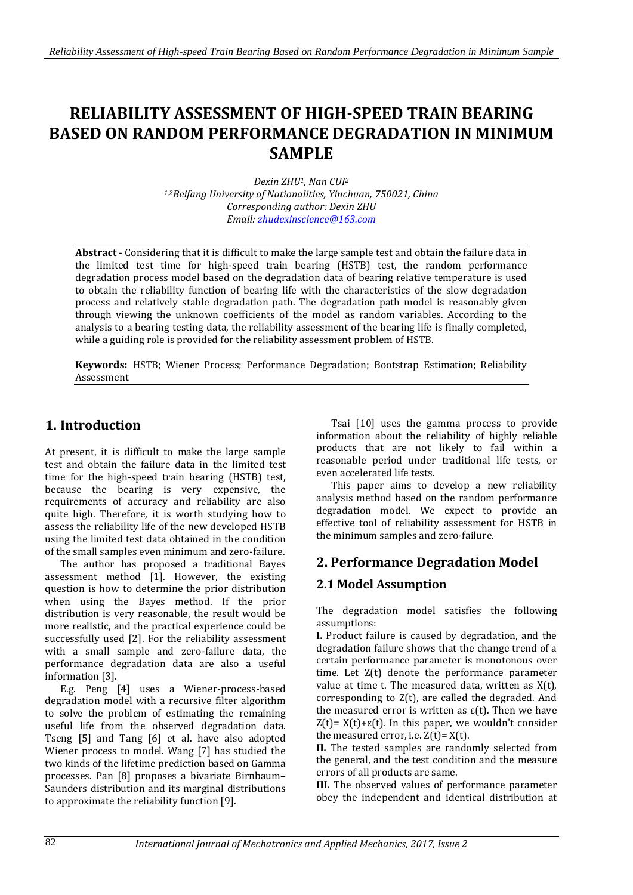# **RELIABILITY ASSESSMENT OF HIGH-SPEED TRAIN BEARING BASED ON RANDOM PERFORMANCE DEGRADATION IN MINIMUM SAMPLE**

*Dexin ZHU1, Nan CUI<sup>2</sup> 1,2Beifang University of Nationalities, Yinchuan, 750021, China Corresponding author: Dexin ZHU Email[: zhudexinscience@163.com](mailto:zhudexinscience@163.com)*

**Abstract** - Considering that it is difficult to make the large sample test and obtain the failure data in the limited test time for high-speed train bearing (HSTB) test, the random performance degradation process model based on the degradation data of bearing relative temperature is used to obtain the reliability function of bearing life with the characteristics of the slow degradation process and relatively stable degradation path. The degradation path model is reasonably given through viewing the unknown coefficients of the model as random variables. According to the analysis to a bearing testing data, the reliability assessment of the bearing life is finally completed, while a guiding role is provided for the reliability assessment problem of HSTB.

**Keywords:** HSTB; Wiener Process; Performance Degradation; Bootstrap Estimation; Reliability Assessment

# **1. Introduction**

At present, it is difficult to make the large sample test and obtain the failure data in the limited test time for the high-speed train bearing (HSTB) test, because the bearing is very expensive, the requirements of accuracy and reliability are also quite high. Therefore, it is worth studying how to assess the reliability life of the new developed HSTB using the limited test data obtained in the condition of the small samples even minimum and zero-failure.

The author has proposed a traditional Bayes assessment method [1]. However, the existing question is how to determine the prior distribution when using the Bayes method. If the prior distribution is very reasonable, the result would be more realistic, and the practical experience could be successfully used [2]. For the reliability assessment with a small sample and zero-failure data, the performance degradation data are also a useful information [3].

E.g. Peng [4] uses a Wiener-process-based degradation model with a recursive filter algorithm to solve the problem of estimating the remaining useful life from the observed degradation data. Tseng [5] and Tang [6] et al. have also adopted Wiener process to model. Wang [7] has studied the two kinds of the lifetime prediction based on Gamma processes. Pan [8] proposes a bivariate Birnbaum– Saunders distribution and its marginal distributions to approximate the reliability function [9].

Tsai [10] uses the gamma process to provide information about the reliability of highly reliable products that are not likely to fail within a reasonable period under traditional life tests, or even accelerated life tests.

This paper aims to develop a new reliability analysis method based on the random performance degradation model. We expect to provide an effective tool of reliability assessment for HSTB in the minimum samples and zero-failure.

# **2. Performance Degradation Model**

## **2.1 Model Assumption**

The degradation model satisfies the following assumptions:

**I.** Product failure is caused by degradation, and the degradation failure shows that the change trend of a certain performance parameter is monotonous over time. Let Z(t) denote the performance parameter value at time t. The measured data, written as X(t), corresponding to Z(t), are called the degraded. And the measured error is written as  $\varepsilon(t)$ . Then we have  $Z(t) = X(t) + \varepsilon(t)$ . In this paper, we wouldn't consider the measured error, i.e.  $Z(t) = X(t)$ .

**II.** The tested samples are randomly selected from the general, and the test condition and the measure errors of all products are same.

**III.** The observed values of performance parameter obey the independent and identical distribution at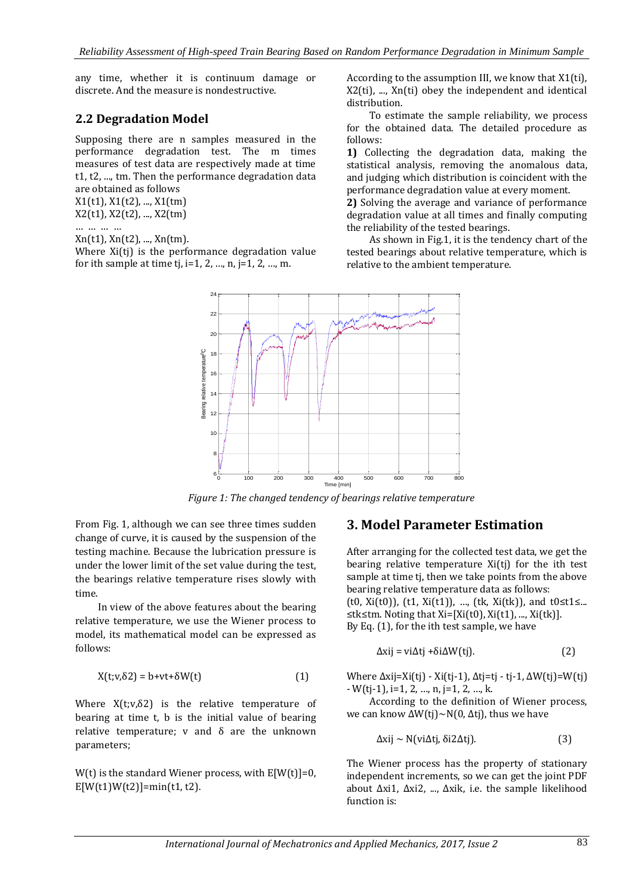any time, whether it is continuum damage or discrete. And the measure is nondestructive.

#### **2.2 Degradation Model**

Supposing there are n samples measured in the performance degradation test. The m times measures of test data are respectively made at time t1, t2, ..., tm. Then the performance degradation data are obtained as follows

X1(t1), X1(t2), ..., X1(tm)

X2(t1), X2(t2), ..., X2(tm)

… … … …

Xn(t1), Xn(t2), ..., Xn(tm).

Where Xi(tj) is the performance degradation value for ith sample at time  $t_{i}$ , i=1, 2, ..., n, j=1, 2, ..., m.

According to the assumption III, we know that X1(ti), X2(ti), ..., Xn(ti) obey the independent and identical distribution.

To estimate the sample reliability, we process for the obtained data. The detailed procedure as follows:

**1)** Collecting the degradation data, making the statistical analysis, removing the anomalous data, and judging which distribution is coincident with the performance degradation value at every moment.

**2)** Solving the average and variance of performance degradation value at all times and finally computing the reliability of the tested bearings.

As shown in Fig.1, it is the tendency chart of the tested bearings about relative temperature, which is relative to the ambient temperature.



*Figure 1: The changed tendency of bearings relative temperature*

From Fig. 1, although we can see three times sudden change of curve, it is caused by the suspension of the testing machine. Because the lubrication pressure is under the lower limit of the set value during the test, the bearings relative temperature rises slowly with time.

In view of the above features about the bearing relative temperature, we use the Wiener process to model, its mathematical model can be expressed as follows:

$$
X(t; v, \delta 2) = b + vt + \delta W(t)
$$
 (1)

Where  $X(t; v, \delta 2)$  is the relative temperature of bearing at time t, b is the initial value of bearing relative temperature;  $v$  and  $\delta$  are the unknown parameters;

W(t) is the standard Wiener process, with  $E[W(t)] = 0$ ,  $E[W(t1)W(t2)] = min(t1, t2)$ .

## **3. Model Parameter Estimation**

After arranging for the collected test data, we get the bearing relative temperature Xi(tj) for the ith test sample at time tj, then we take points from the above bearing relative temperature data as follows: (t0, Xi(t0)), (t1, Xi(t1)), ..., (tk, Xi(tk)), and t0≤t1≤... ≤tk≤tm. Noting that Xi=[Xi(t0), Xi(t1), ..., Xi(tk)]. By Eq. (1), for the ith test sample, we have

$$
\Delta x i j = v i \Delta t j + \delta i \Delta W(t j). \tag{2}
$$

Where  $\Delta x$ ij=Xi(tj) - Xi(tj-1),  $\Delta t$ j=tj - tj-1,  $\Delta W(t)$ j=W(tj) - W(tj-1), i=1, 2, …, n, j=1, 2, …, k.

According to the definition of Wiener process, we can know  $\Delta W(tj) \sim N(0, \Delta t)$ , thus we have

$$
\Delta xij \sim N(vi\Delta tj, \delta i2\Delta tj). \tag{3}
$$

The Wiener process has the property of stationary independent increments, so we can get the joint PDF about Δxi1, Δxi2, ..., Δxik, i.e. the sample likelihood function is: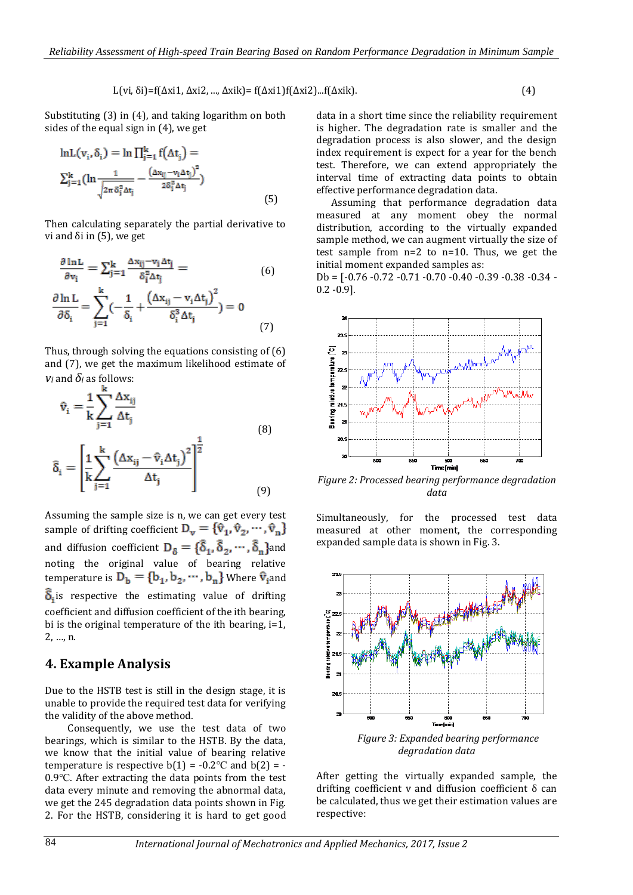L(vi,  $\delta$ i)=f( $\Delta$ xi1,  $\Delta$ xi2, ...,  $\Delta$ xik)= f( $\Delta$ xi1)f( $\Delta$ xi2)...f( $\Delta$ xik). (4)

Substituting (3) in (4), and taking logarithm on both sides of the equal sign in (4), we get

$$
\ln L(v_i, \delta_i) = \ln \prod_{j=1}^{k} f(\Delta t_j) =
$$
  

$$
\sum_{j=1}^{k} (\ln \frac{1}{\sqrt{2\pi \delta_i^2 \Delta t_j}} - \frac{(\Delta x_{ij} - v_i \Delta t_j)^2}{2\delta_i^2 \Delta t_j})
$$
(5)

Then calculating separately the partial derivative to vi and  $δ$ i in  $(5)$ , we get

$$
\frac{\partial \ln L}{\partial v_i} = \sum_{j=1}^{k} \frac{\Delta x_{ij} - v_i \Delta t_j}{\delta_i^2 \Delta t_j} =
$$
(6)  

$$
\frac{\partial \ln L}{\partial \delta_i} = \sum_{j=1}^{k} \left( -\frac{1}{\delta_i} + \frac{(\Delta x_{ij} - v_i \Delta t_j)^2}{\delta_i^3 \Delta t_j} \right) = 0
$$
(7)

Thus, through solving the equations consisting of (6) and (7), we get the maximum likelihood estimate of  $v_i$  and  $\delta_i$  as follows:

$$
\hat{v}_i = \frac{1}{k} \sum_{j=1}^k \frac{\Delta x_{ij}}{\Delta t_j}
$$
\n
$$
\hat{\delta}_i = \left[ \frac{1}{k} \sum_{j=1}^k \frac{(\Delta x_{ij} - \hat{v}_i \Delta t_j)^2}{\Delta t_j} \right]^{\frac{1}{2}}
$$
\n(8)

Assuming the sample size is n, we can get every test sample of drifting coefficient  $D_v = {\hat{v}_1, \hat{v}_2, \cdots, \hat{v}_n}$ and diffusion coefficient  $D_{\delta} = {\hat{\delta}_1, \hat{\delta}_2, \cdots, \hat{\delta}_n}$  and noting the original value of bearing relative temperature is  $D_{\rm b} = \{b_1, b_2, \cdots, b_n\}$  Where  $\hat{v}_i$  and  $\delta$ <sub>i</sub> is respective the estimating value of drifting coefficient and diffusion coefficient of the ith bearing, bi is the original temperature of the ith bearing, i=1, 2, …, n.

#### **4. Example Analysis**

Due to the HSTB test is still in the design stage, it is unable to provide the required test data for verifying the validity of the above method.

Consequently, we use the test data of two bearings, which is similar to the HSTB. By the data, we know that the initial value of bearing relative temperature is respective  $b(1) = -0.2$ <sup>o</sup>C and  $b(2) = -$ 0.9℃. After extracting the data points from the test data every minute and removing the abnormal data, we get the 245 degradation data points shown in Fig. 2. For the HSTB, considering it is hard to get good data in a short time since the reliability requirement is higher. The degradation rate is smaller and the degradation process is also slower, and the design index requirement is expect for a year for the bench test. Therefore, we can extend appropriately the interval time of extracting data points to obtain effective performance degradation data.

Assuming that performance degradation data measured at any moment obey the normal distribution, according to the virtually expanded sample method, we can augment virtually the size of test sample from n=2 to n=10. Thus, we get the initial moment expanded samples as:

 $Db = [-0.76 - 0.72 - 0.71 - 0.70 - 0.40 - 0.39 - 0.38 - 0.34 -$ 0.2 -0.9].



*Figure 2: Processed bearing performance degradation data*

Simultaneously, for the processed test data measured at other moment, the corresponding expanded sample data is shown in Fig. 3.



*degradation data*

After getting the virtually expanded sample, the drifting coefficient v and diffusion coefficient δ can be calculated, thus we get their estimation values are respective: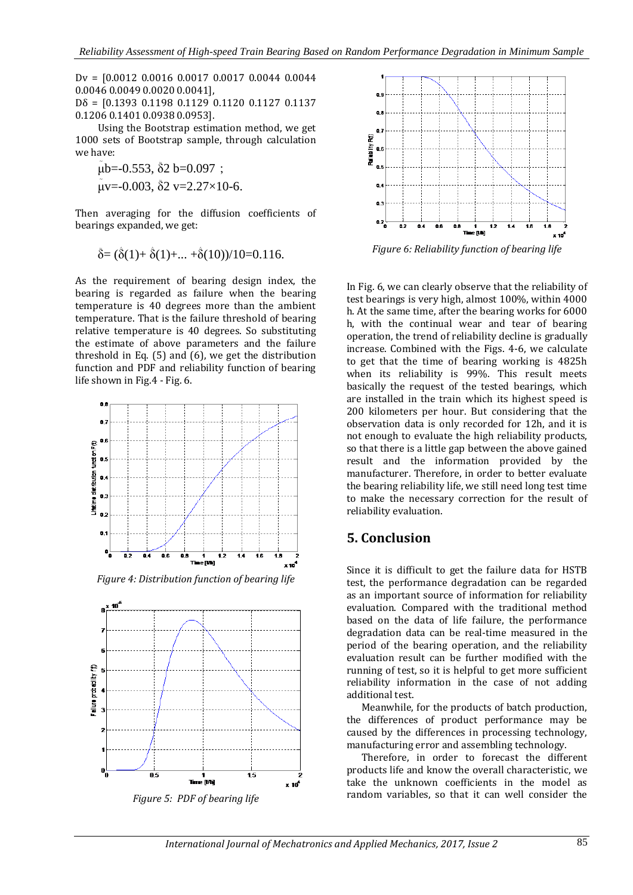Dv = [0.0012 0.0016 0.0017 0.0017 0.0044 0.0044 0.0046 0.0049 0.0020 0.0041],  $D\delta = [0.1393 \ 0.1198 \ 0.1129 \ 0.1120 \ 0.1127 \ 0.1137]$ 0.1206 0.1401 0.0938 0.0953].

Using the Bootstrap estimation method, we get 1000 sets of Bootstrap sample, through calculation we have:

 $\mu$ b=-0.553,  $\delta$ 2 b=0.097;  $\mu$ v=-0.003,  $\delta$ 2 v=2.27×10-6.

Then averaging for the diffusion coefficients of bearings expanded, we get:

$$
\delta = (\hat{\delta}(1) + \hat{\delta}(1) + \dots + \hat{\delta}(10))/10 = 0.116.
$$

As the requirement of bearing design index, the bearing is regarded as failure when the bearing temperature is 40 degrees more than the ambient temperature. That is the failure threshold of bearing relative temperature is 40 degrees. So substituting the estimate of above parameters and the failure threshold in Eq. (5) and (6), we get the distribution function and PDF and reliability function of bearing life shown in Fig.4 - Fig. 6.



*Figure 4: Distribution function of bearing life* 





*Figure 6: Reliability function of bearing life*

In Fig. 6, we can clearly observe that the reliability of test bearings is very high, almost 100%, within 4000 h. At the same time, after the bearing works for 6000 h, with the continual wear and tear of bearing operation, the trend of reliability decline is gradually increase. Combined with the Figs. 4-6, we calculate to get that the time of bearing working is 4825h when its reliability is 99%. This result meets basically the request of the tested bearings, which are installed in the train which its highest speed is 200 kilometers per hour. But considering that the observation data is only recorded for 12h, and it is not enough to evaluate the high reliability products, so that there is a little gap between the above gained result and the information provided by the manufacturer. Therefore, in order to better evaluate the bearing reliability life, we still need long test time to make the necessary correction for the result of reliability evaluation.

## **5. Conclusion**

Since it is difficult to get the failure data for HSTB test, the performance degradation can be regarded as an important source of information for reliability evaluation. Compared with the traditional method based on the data of life failure, the performance degradation data can be real-time measured in the period of the bearing operation, and the reliability evaluation result can be further modified with the running of test, so it is helpful to get more sufficient reliability information in the case of not adding additional test.

Meanwhile, for the products of batch production, the differences of product performance may be caused by the differences in processing technology, manufacturing error and assembling technology.

Therefore, in order to forecast the different products life and know the overall characteristic, we take the unknown coefficients in the model as random variables, so that it can well consider the